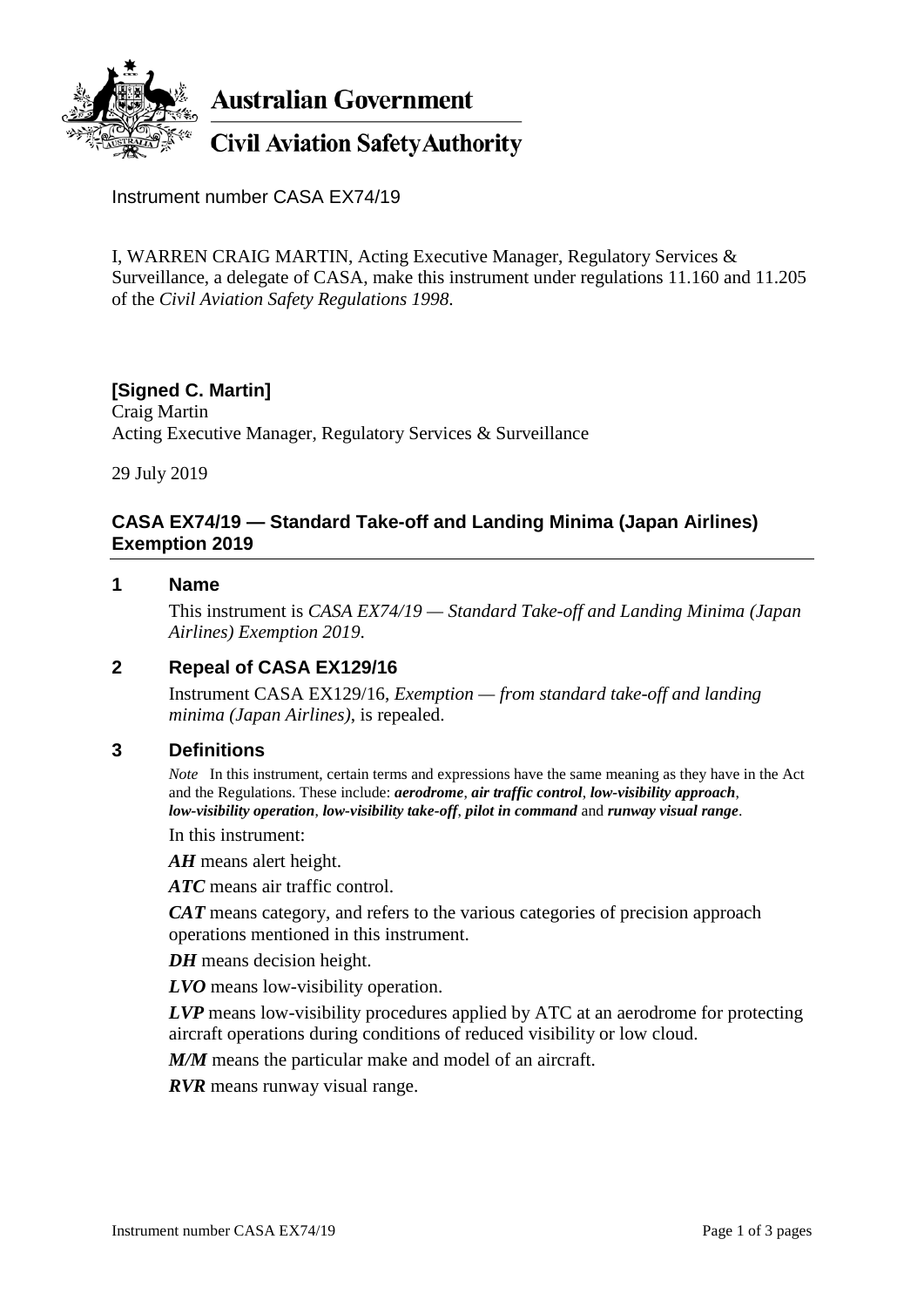

**Australian Government** 

# **Civil Aviation Safety Authority**

Instrument number CASA EX74/19

I, WARREN CRAIG MARTIN, Acting Executive Manager, Regulatory Services & Surveillance, a delegate of CASA, make this instrument under regulations 11.160 and 11.205 of the *Civil Aviation Safety Regulations 1998*.

# **[Signed C. Martin]**

Craig Martin Acting Executive Manager, Regulatory Services & Surveillance

29 July 2019

## **CASA EX74/19 — Standard Take-off and Landing Minima (Japan Airlines) Exemption 2019**

#### **1 Name**

This instrument is *CASA EX74/19 — Standard Take-off and Landing Minima (Japan Airlines) Exemption 2019*.

#### **2 Repeal of CASA EX129/16**

Instrument CASA EX129/16, *Exemption — from standard take-off and landing minima (Japan Airlines)*, is repealed.

#### **3 Definitions**

*Note* In this instrument, certain terms and expressions have the same meaning as they have in the Act and the Regulations. These include: *aerodrome*, *air traffic control*, *low-visibility approach*, *low-visibility operation*, *low-visibility take-off*, *pilot in command* and *runway visual range*.

In this instrument:

*AH* means alert height.

*ATC* means air traffic control.

*CAT* means category, and refers to the various categories of precision approach operations mentioned in this instrument.

*DH* means decision height.

*LVO* means low-visibility operation.

*LVP* means low-visibility procedures applied by ATC at an aerodrome for protecting aircraft operations during conditions of reduced visibility or low cloud.

*M/M* means the particular make and model of an aircraft.

*RVR* means runway visual range.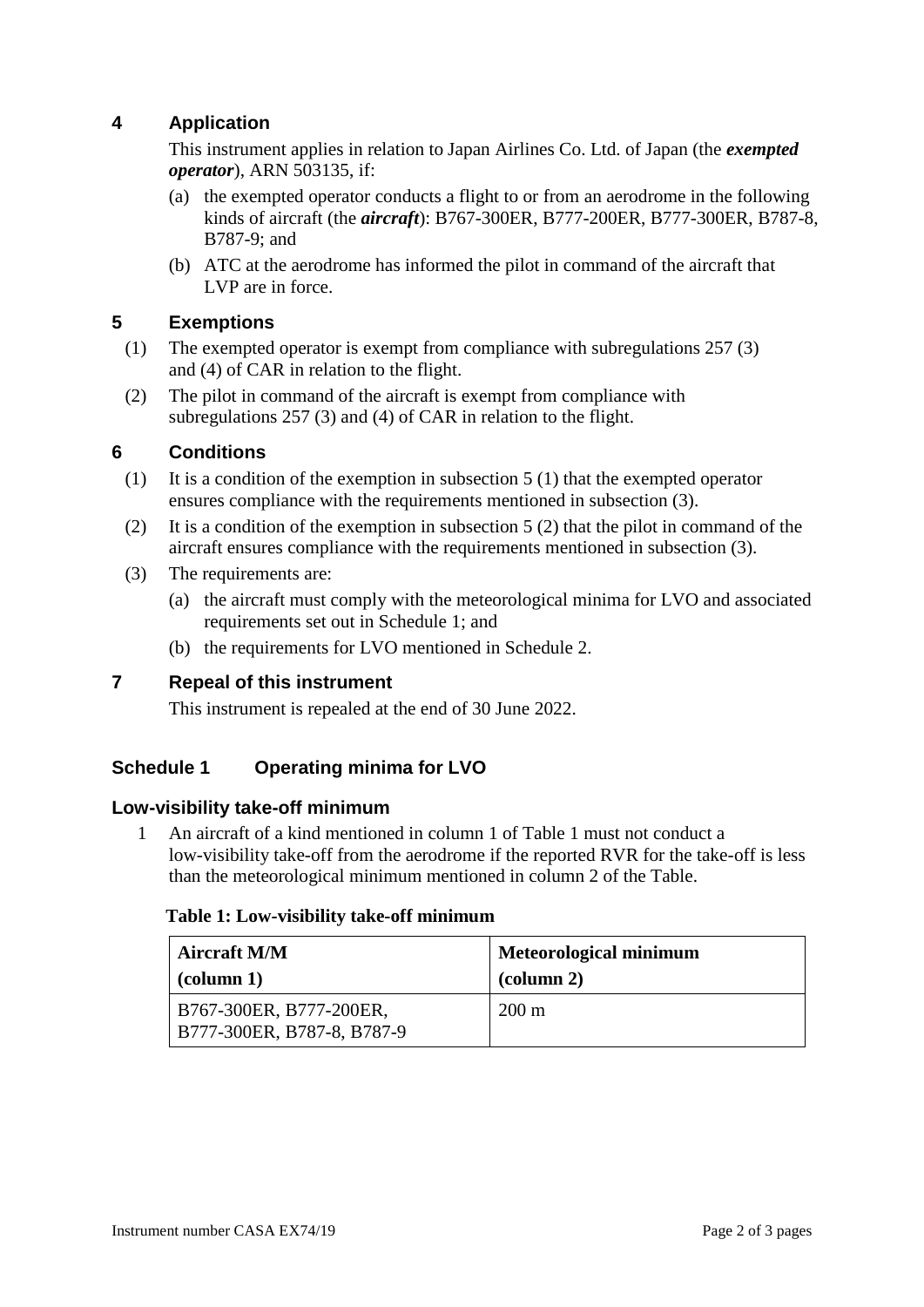# **4 Application**

This instrument applies in relation to Japan Airlines Co. Ltd. of Japan (the *exempted operator*), ARN 503135, if:

- (a) the exempted operator conducts a flight to or from an aerodrome in the following kinds of aircraft (the *aircraft*): B767-300ER, B777-200ER, B777-300ER, B787-8, B787-9; and
- (b) ATC at the aerodrome has informed the pilot in command of the aircraft that LVP are in force.

#### **5 Exemptions**

- (1) The exempted operator is exempt from compliance with subregulations 257 (3) and (4) of CAR in relation to the flight.
- (2) The pilot in command of the aircraft is exempt from compliance with subregulations 257 (3) and (4) of CAR in relation to the flight.

#### **6 Conditions**

- (1) It is a condition of the exemption in subsection 5 (1) that the exempted operator ensures compliance with the requirements mentioned in subsection (3).
- (2) It is a condition of the exemption in subsection 5 (2) that the pilot in command of the aircraft ensures compliance with the requirements mentioned in subsection (3).
- (3) The requirements are:
	- (a) the aircraft must comply with the meteorological minima for LVO and associated requirements set out in Schedule 1; and
	- (b) the requirements for LVO mentioned in Schedule 2.

#### **7 Repeal of this instrument**

This instrument is repealed at the end of 30 June 2022.

#### **Schedule 1 Operating minima for LVO**

#### **Low-visibility take-off minimum**

1 An aircraft of a kind mentioned in column 1 of Table 1 must not conduct a low-visibility take-off from the aerodrome if the reported RVR for the take-off is less than the meteorological minimum mentioned in column 2 of the Table.

#### **Table 1: Low-visibility take-off minimum**

| <b>Aircraft M/M</b>                                     | <b>Meteorological minimum</b> |
|---------------------------------------------------------|-------------------------------|
| $\vert$ (column 1)                                      | $\alpha$ (column 2)           |
| B767-300ER, B777-200ER,<br>  B777-300ER, B787-8, B787-9 | $200 \text{ m}$               |